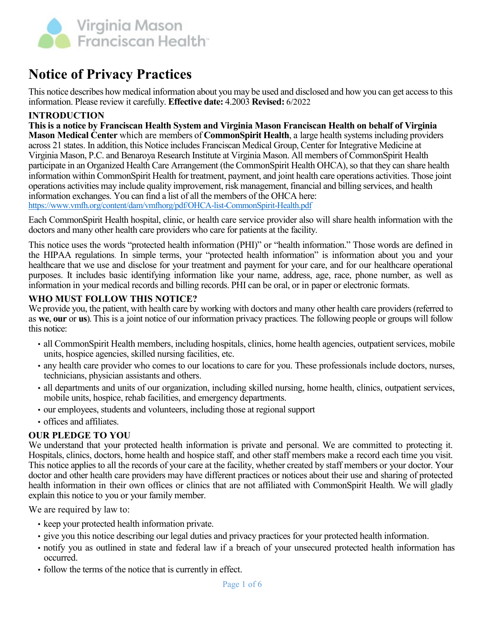

# Notice of Privacy Practices

This notice describes how medical information about you may be used and disclosed and how you can get access to this information. Please review it carefully. Effective date: 4.2003 Revised: 6/2022

## INTRODUCTION

This is a notice by Franciscan Health System and Virginia Mason Franciscan Health on behalf of Virginia Mason Medical Center which are members of CommonSpirit Health, a large health systems including providers across 21 states. In addition, this Notice includes Franciscan Medical Group, Center for Integrative Medicine at Virginia Mason, P.C. and Benaroya Research Institute at Virginia Mason. All members of CommonSpirit Health participate in an Organized Health Care Arrangement (the CommonSpirit Health OHCA), so that they can share health information within CommonSpirit Health for treatment, payment, and joint health care operations activities. Those joint operations activities may include quality improvement, risk management, financial and billing services, and health information exchanges. You can find a list of all the members of the OHCA here: https://www.vmfh.org/content/dam/vmfhorg/pdf/OHCA-list-CommonSpirit-Health.pdf

Each CommonSpirit Health hospital, clinic, or health care service provider also will share health information with the doctors and many other health care providers who care for patients at the facility.

This notice uses the words "protected health information (PHI)" or "health information." Those words are defined in the HIPAA regulations. In simple terms, your "protected health information" is information about you and your healthcare that we use and disclose for your treatment and payment for your care, and for our healthcare operational purposes. It includes basic identifying information like your name, address, age, race, phone number, as well as information in your medical records and billing records. PHI can be oral, or in paper or electronic formats.

## WHO MUST FOLLOW THIS NOTICE?

We provide you, the patient, with health care by working with doctors and many other health care providers (referred to as we, our or us). This is a joint notice of our information privacy practices. The following people or groups will follow this notice:

- all CommonSpirit Health members, including hospitals, clinics, home health agencies, outpatient services, mobile units, hospice agencies, skilled nursing facilities, etc.
- any health care provider who comes to our locations to care for you. These professionals include doctors, nurses, technicians, physician assistants and others.
- all departments and units of our organization, including skilled nursing, home health, clinics, outpatient services, mobile units, hospice, rehab facilities, and emergency departments.
- our employees, students and volunteers, including those at regional support
- offices and affiliates.

#### OUR PLEDGE TO YOU

We understand that your protected health information is private and personal. We are committed to protecting it. Hospitals, clinics, doctors, home health and hospice staff, and other staff members make a record each time you visit. This notice applies to all the records of your care at the facility, whether created by staff members or your doctor. Your doctor and other health care providers may have different practices or notices about their use and sharing of protected health information in their own offices or clinics that are not affiliated with CommonSpirit Health. We will gladly explain this notice to you or your family member.

We are required by law to:

- keep your protected health information private.
- give you this notice describing our legal duties and privacy practices for your protected health information.
- notify you as outlined in state and federal law if a breach of your unsecured protected health information has occurred.
- follow the terms of the notice that is currently in effect.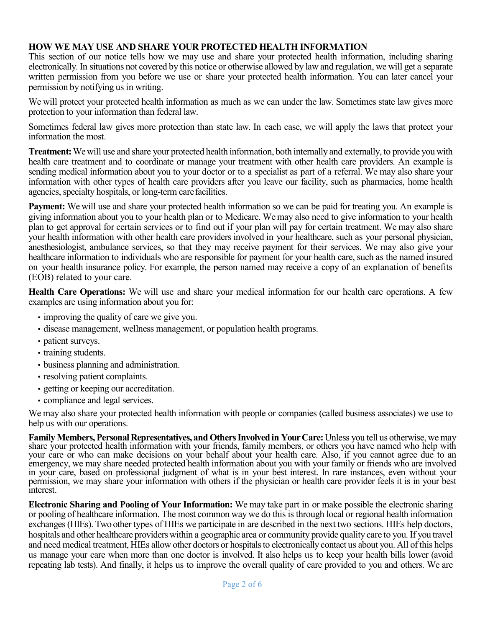## HOW WE MAY USE AND SHARE YOUR PROTECTED HEALTH INFORMATION

This section of our notice tells how we may use and share your protected health information, including sharing electronically. In situations not covered by this notice or otherwise allowed by law and regulation, we will get a separate written permission from you before we use or share your protected health information. You can later cancel your permission by notifying us in writing.

We will protect your protected health information as much as we can under the law. Sometimes state law gives more protection to your information than federal law.

Sometimes federal law gives more protection than state law. In each case, we will apply the laws that protect your information the most.

Treatment: We will use and share your protected health information, both internally and externally, to provide you with health care treatment and to coordinate or manage your treatment with other health care providers. An example is sending medical information about you to your doctor or to a specialist as part of a referral. We may also share your information with other types of health care providers after you leave our facility, such as pharmacies, home health agencies, specialty hospitals, or long-term care facilities.

Payment: We will use and share your protected health information so we can be paid for treating you. An example is giving information about you to your health plan or to Medicare. We may also need to give information to your health plan to get approval for certain services or to find out if your plan will pay for certain treatment. We may also share your health information with other health care providers involved in your healthcare, such as your personal physician, anesthesiologist, ambulance services, so that they may receive payment for their services. We may also give your healthcare information to individuals who are responsible for payment for your health care, such as the named insured on your health insurance policy. For example, the person named may receive a copy of an explanation of benefits (EOB) related to your care.

Health Care Operations: We will use and share your medical information for our health care operations. A few examples are using information about you for:

- improving the quality of care we give you.
- disease management, wellness management, or population health programs.
- patient surveys.
- training students.
- business planning and administration.
- resolving patient complaints.
- getting or keeping our accreditation.
- compliance and legal services.

We may also share your protected health information with people or companies (called business associates) we use to help us with our operations.

Family Members, Personal Representatives, and Others Involved in Your Care: Unless you tell us otherwise, we may share your protected health information with your friends, family members, or others you have named who help with your care or who can make decisions on your behalf about your health care. Also, if you cannot agree due to an emergency, we may share needed protected health information about you with your family or friends who are involved in your care, based on professional judgment of what is in your best interest. In rare instances, even without your permission, we may share your information with others if the physician or health care provider feels it is in your best interest.

Electronic Sharing and Pooling of Your Information: We may take part in or make possible the electronic sharing or pooling of healthcare information. The most common way we do this is through local or regional health information exchanges (HIEs). Two other types of HIEs we participate in are described in the next two sections. HIEs help doctors, hospitals and other healthcare providers within a geographic area or community provide quality care to you. If you travel and need medical treatment, HIEs allow other doctors or hospitals to electronically contact us about you. All of this helps us manage your care when more than one doctor is involved. It also helps us to keep your health bills lower (avoid repeating lab tests). And finally, it helps us to improve the overall quality of care provided to you and others. We are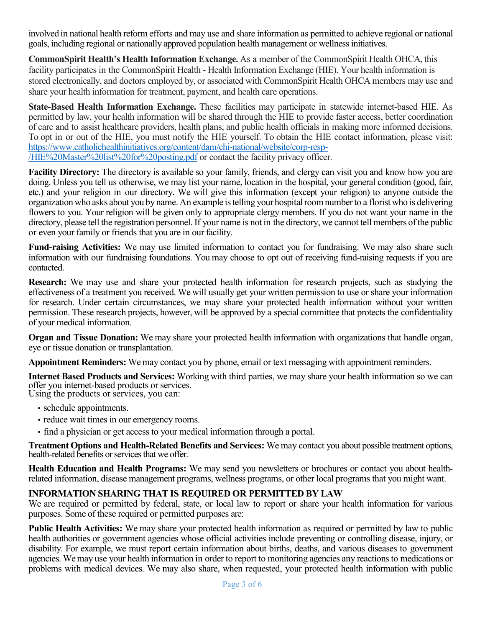involved in national health reform efforts and may use and share information as permitted to achieve regional or national goals, including regional or nationally approved population health management or wellness initiatives.

CommonSpirit Health's Health Information Exchange. As a member of the CommonSpirit Health OHCA, this facility participates in the CommonSpirit Health - Health Information Exchange (HIE). Your health information is stored electronically, and doctors employed by, or associated with CommonSpirit Health OHCA members may use and share your health information for treatment, payment, and health care operations.

State-Based Health Information Exchange. These facilities may participate in statewide internet-based HIE. As permitted by law, your health information will be shared through the HIE to provide faster access, better coordination of care and to assist healthcare providers, health plans, and public health officials in making more informed decisions. To opt in or out of the HIE, you must notify the HIE yourself. To obtain the HIE contact information, please visit: https://www.catholichealthinitiatives.org/content/dam/chi-national/website/corp-resp- /HIE%20Master%20list%20for%20posting.pdf or contact the facility privacy officer.

Facility Directory: The directory is available so your family, friends, and clergy can visit you and know how you are doing. Unless you tell us otherwise, we may list your name, location in the hospital, your general condition (good, fair, etc.) and your religion in our directory. We will give this information (except your religion) to anyone outside the organization who asks about you by name. An example is telling your hospital room number to a florist who is delivering flowers to you. Your religion will be given only to appropriate clergy members. If you do not want your name in the directory, please tell the registration personnel. If your name is not in the directory, we cannot tell members of the public or even your family or friends that you are in our facility.

Fund-raising Activities: We may use limited information to contact you for fundraising. We may also share such information with our fundraising foundations. You may choose to opt out of receiving fund-raising requests if you are contacted.

Research: We may use and share your protected health information for research projects, such as studying the effectiveness of a treatment you received. We will usually get your written permission to use or share your information for research. Under certain circumstances, we may share your protected health information without your written permission. These research projects, however, will be approved by a special committee that protects the confidentiality of your medical information.

Organ and Tissue Donation: We may share your protected health information with organizations that handle organ, eye or tissue donation or transplantation.

Appointment Reminders: We may contact you by phone, email or text messaging with appointment reminders.

Internet Based Products and Services: Working with third parties, we may share your health information so we can offer you internet-based products or services. Using the products or services, you can:

- schedule appointments.
- reduce wait times in our emergency rooms.
- find a physician or get access to your medical information through a portal.

Treatment Options and Health-Related Benefits and Services: We may contact you about possible treatment options, health-related benefits or services that we offer.

Health Education and Health Programs: We may send you newsletters or brochures or contact you about healthrelated information, disease management programs, wellness programs, or other local programs that you might want.

# INFORMATION SHARING THAT IS REQUIRED OR PERMITTED BY LAW

We are required or permitted by federal, state, or local law to report or share your health information for various purposes. Some of these required or permitted purposes are:

Public Health Activities: We may share your protected health information as required or permitted by law to public health authorities or government agencies whose official activities include preventing or controlling disease, injury, or disability. For example, we must report certain information about births, deaths, and various diseases to government agencies. We may use your health information in order to report to monitoring agencies any reactions to medications or problems with medical devices. We may also share, when requested, your protected health information with public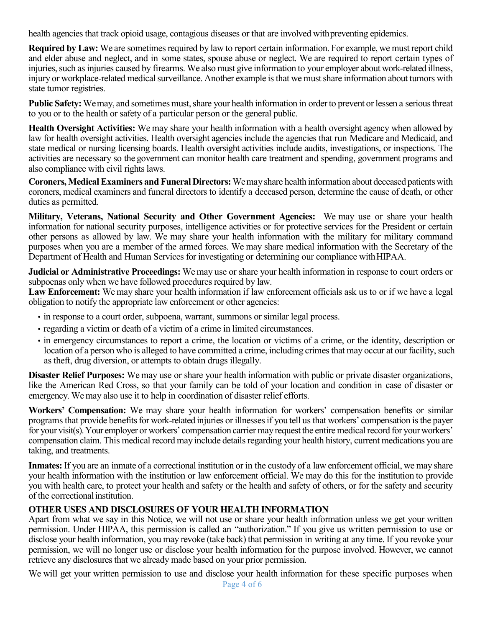health agencies that track opioid usage, contagious diseases or that are involved with preventing epidemics.

Required by Law: We are sometimes required by law to report certain information. For example, we must report child and elder abuse and neglect, and in some states, spouse abuse or neglect. We are required to report certain types of injuries, such as injuries caused by firearms. We also must give information to your employer about work-related illness, injury or workplace-related medical surveillance. Another example is that we must share information about tumors with state tumor registries.

Public Safety: We may, and sometimes must, share your health information in order to prevent or lessen a serious threat to you or to the health or safety of a particular person or the general public.

Health Oversight Activities: We may share your health information with a health oversight agency when allowed by law for health oversight activities. Health oversight agencies include the agencies that run Medicare and Medicaid, and state medical or nursing licensing boards. Health oversight activities include audits, investigations, or inspections. The activities are necessary so the government can monitor health care treatment and spending, government programs and also compliance with civil rights laws.

Coroners, Medical Examiners and Funeral Directors: We may share health information about deceased patients with coroners, medical examiners and funeral directors to identify a deceased person, determine the cause of death, or other duties as permitted.

Military, Veterans, National Security and Other Government Agencies: We may use or share your health information for national security purposes, intelligence activities or for protective services for the President or certain other persons as allowed by law. We may share your health information with the military for military command purposes when you are a member of the armed forces. We may share medical information with the Secretary of the Department of Health and Human Services for investigating or determining our compliance with HIPAA.

**Judicial or Administrative Proceedings:** We may use or share your health information in response to court orders or subpoenas only when we have followed procedures required by law.

Law Enforcement: We may share your health information if law enforcement officials ask us to or if we have a legal obligation to notify the appropriate law enforcement or other agencies:

- in response to a court order, subpoena, warrant, summons or similar legal process.
- regarding a victim or death of a victim of a crime in limited circumstances.
- in emergency circumstances to report a crime, the location or victims of a crime, or the identity, description or location of a person who is alleged to have committed a crime, including crimes that may occur at our facility, such as theft, drug diversion, or attempts to obtain drugs illegally.

Disaster Relief Purposes: We may use or share your health information with public or private disaster organizations, like the American Red Cross, so that your family can be told of your location and condition in case of disaster or emergency. We may also use it to help in coordination of disaster relief efforts.

Workers' Compensation: We may share your health information for workers' compensation benefits or similar programs that provide benefits for work-related injuries or illnesses if you tell us that workers' compensation is the payer for your visit(s). Your employer or workers' compensation carrier may request the entire medical record for your workers' compensation claim. This medical record may include details regarding your health history, current medications you are taking, and treatments.

Inmates: If you are an inmate of a correctional institution or in the custody of a law enforcement official, we may share your health information with the institution or law enforcement official. We may do this for the institution to provide you with health care, to protect your health and safety or the health and safety of others, or for the safety and security of the correctional institution.

# OTHER USES AND DISCLOSURES OF YOUR HEALTH INFORMATION

Apart from what we say in this Notice, we will not use or share your health information unless we get your written permission. Under HIPAA, this permission is called an "authorization." If you give us written permission to use or disclose your health information, you may revoke (take back) that permission in writing at any time. If you revoke your permission, we will no longer use or disclose your health information for the purpose involved. However, we cannot retrieve any disclosures that we already made based on your prior permission.

We will get your written permission to use and disclose your health information for these specific purposes when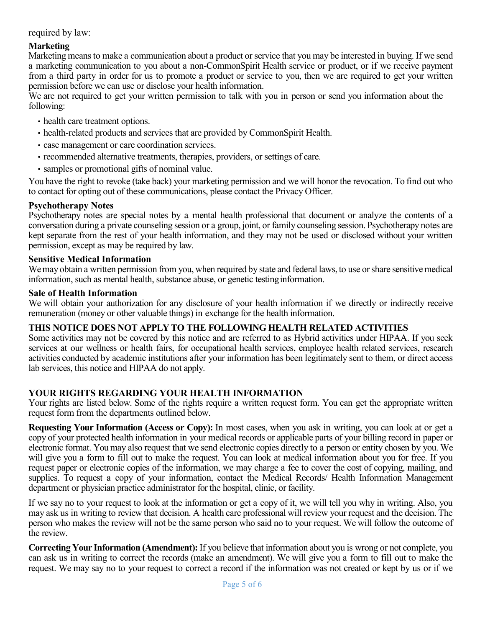#### required by law:

# Marketing

Marketing means to make a communication about a product or service that you may be interested in buying. If we send a marketing communication to you about a non-CommonSpirit Health service or product, or if we receive payment from a third party in order for us to promote a product or service to you, then we are required to get your written permission before we can use or disclose your health information.

We are not required to get your written permission to talk with you in person or send you information about the following:

- health care treatment options.
- health-related products and services that are provided by CommonSpirit Health.
- case management or care coordination services.
- recommended alternative treatments, therapies, providers, or settings of care.
- samples or promotional gifts of nominal value.

You have the right to revoke (take back) your marketing permission and we will honor the revocation. To find out who to contact for opting out of these communications, please contact the Privacy Officer.

## Psychotherapy Notes

Psychotherapy notes are special notes by a mental health professional that document or analyze the contents of a conversation during a private counseling session or a group, joint, or family counseling session. Psychotherapy notes are kept separate from the rest of your health information, and they may not be used or disclosed without your written permission, except as may be required by law.

#### Sensitive Medical Information

We may obtain a written permission from you, when required by state and federal laws, to use or share sensitive medical information, such as mental health, substance abuse, or genetic testing information.

#### Sale of Health Information

We will obtain your authorization for any disclosure of your health information if we directly or indirectly receive remuneration (money or other valuable things) in exchange for the health information.

# THIS NOTICE DOES NOT APPLY TO THE FOLLOWING HEALTH RELATED ACTIVITIES

Some activities may not be covered by this notice and are referred to as Hybrid activities under HIPAA. If you seek services at our wellness or health fairs, for occupational health services, employee health related services, research activities conducted by academic institutions after your information has been legitimately sent to them, or direct access lab services, this notice and HIPAA do not apply.

# YOUR RIGHTS REGARDING YOUR HEALTH INFORMATION

Your rights are listed below. Some of the rights require a written request form. You can get the appropriate written request form from the departments outlined below.

Requesting Your Information (Access or Copy): In most cases, when you ask in writing, you can look at or get a copy of your protected health information in your medical records or applicable parts of your billing record in paper or electronic format. You may also request that we send electronic copies directly to a person or entity chosen by you. We will give you a form to fill out to make the request. You can look at medical information about you for free. If you request paper or electronic copies of the information, we may charge a fee to cover the cost of copying, mailing, and supplies. To request a copy of your information, contact the Medical Records/ Health Information Management department or physician practice administrator for the hospital, clinic, or facility.

If we say no to your request to look at the information or get a copy of it, we will tell you why in writing. Also, you may ask us in writing to review that decision. A health care professional will review your request and the decision. The person who makes the review will not be the same person who said no to your request. We will follow the outcome of the review.

Correcting Your Information (Amendment): If you believe that information about you is wrong or not complete, you can ask us in writing to correct the records (make an amendment). We will give you a form to fill out to make the request. We may say no to your request to correct a record if the information was not created or kept by us or if we